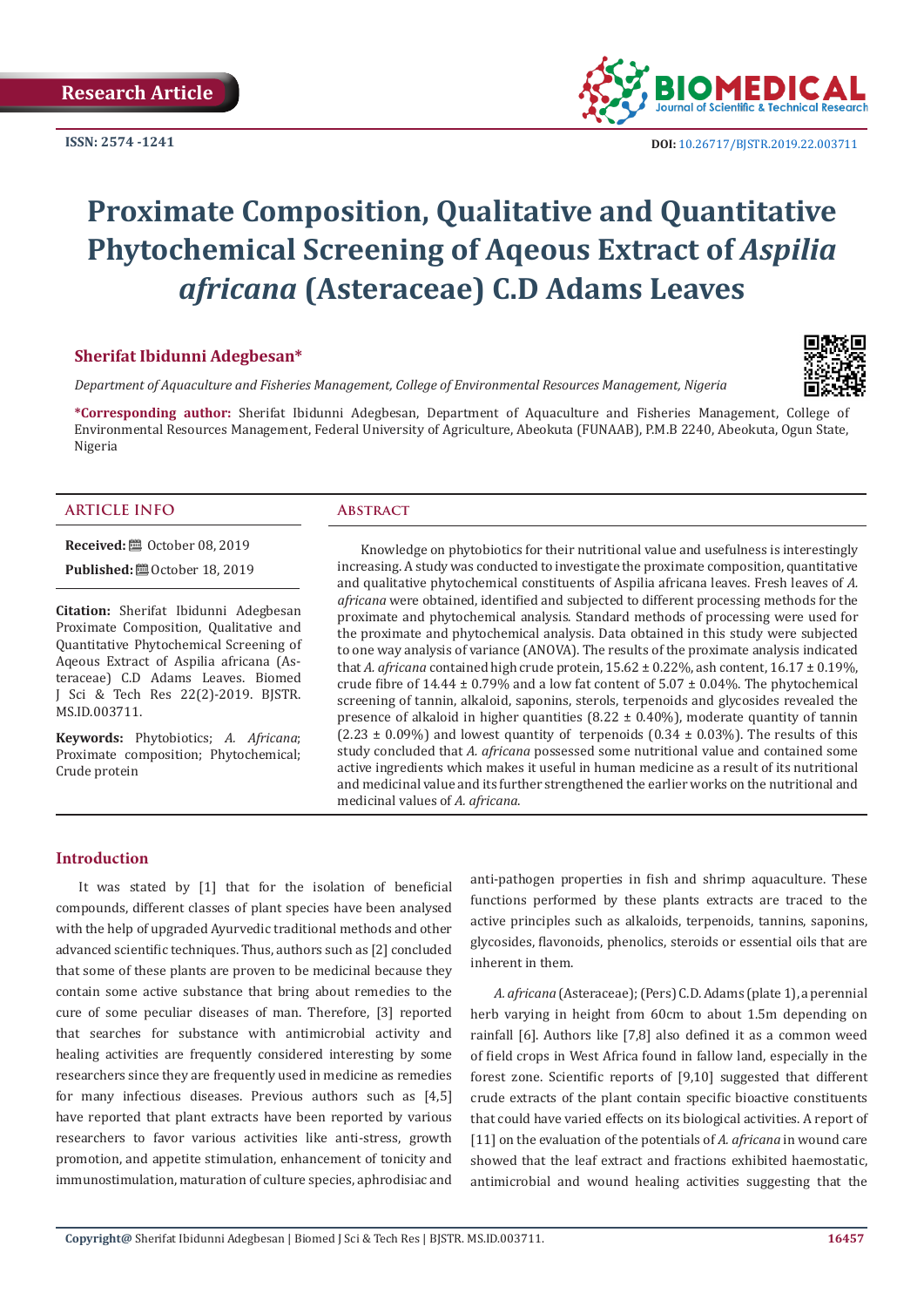**ISSN: 2574 -1241**



# **Proximate Composition, Qualitative and Quantitative Phytochemical Screening of Aqeous Extract of** *Aspilia africana* **(Asteraceae) C.D Adams Leaves**

## **Sherifat Ibidunni Adegbesan\***

*Department of Aquaculture and Fisheries Management, College of Environmental Resources Management, Nigeria* 

**\*Corresponding author:** Sherifat Ibidunni Adegbesan, Department of Aquaculture and Fisheries Management, College of Environmental Resources Management, Federal University of Agriculture, Abeokuta (FUNAAB), P.M.B 2240, Abeokuta, Ogun State, Nigeria

#### **ARTICLE INFO Abstract**

**Received:** ■ October 08, 2019

**Published: @** October 18, 2019

**Citation:** Sherifat Ibidunni Adegbesan Proximate Composition, Qualitative and Quantitative Phytochemical Screening of Aqeous Extract of Aspilia africana (Asteraceae) C.D Adams Leaves. Biomed J Sci & Tech Res 22(2)-2019. BJSTR. MS.ID.003711.

**Keywords:** Phytobiotics; *A. Africana*; Proximate composition; Phytochemical; Crude protein

Knowledge on phytobiotics for their nutritional value and usefulness is interestingly increasing. A study was conducted to investigate the proximate composition, quantitative and qualitative phytochemical constituents of Aspilia africana leaves. Fresh leaves of *A. africana* were obtained, identified and subjected to different processing methods for the proximate and phytochemical analysis. Standard methods of processing were used for the proximate and phytochemical analysis. Data obtained in this study were subjected to one way analysis of variance (ANOVA). The results of the proximate analysis indicated that *A. africana* contained high crude protein, 15.62 ± 0.22%, ash content, 16.17 ± 0.19%, crude fibre of 14.44  $\pm$  0.79% and a low fat content of 5.07  $\pm$  0.04%. The phytochemical screening of tannin, alkaloid, saponins, sterols, terpenoids and glycosides revealed the presence of alkaloid in higher quantities  $(8.22 \pm 0.40\%)$ , moderate quantity of tannin  $(2.23 \pm 0.09\%)$  and lowest quantity of terpenoids  $(0.34 \pm 0.03\%)$ . The results of this study concluded that *A. africana* possessed some nutritional value and contained some active ingredients which makes it useful in human medicine as a result of its nutritional and medicinal value and its further strengthened the earlier works on the nutritional and medicinal values of *A. africana*.

#### **Introduction**

It was stated by [1] that for the isolation of beneficial compounds, different classes of plant species have been analysed with the help of upgraded Ayurvedic traditional methods and other advanced scientific techniques. Thus, authors such as [2] concluded that some of these plants are proven to be medicinal because they contain some active substance that bring about remedies to the cure of some peculiar diseases of man. Therefore, [3] reported that searches for substance with antimicrobial activity and healing activities are frequently considered interesting by some researchers since they are frequently used in medicine as remedies for many infectious diseases. Previous authors such as [4,5] have reported that plant extracts have been reported by various researchers to favor various activities like anti-stress, growth promotion, and appetite stimulation, enhancement of tonicity and immunostimulation, maturation of culture species, aphrodisiac and

anti-pathogen properties in fish and shrimp aquaculture. These functions performed by these plants extracts are traced to the active principles such as alkaloids, terpenoids, tannins, saponins, glycosides, flavonoids, phenolics, steroids or essential oils that are inherent in them.

*A. africana* (Asteraceae); (Pers) C.D. Adams (plate 1), a perennial herb varying in height from 60cm to about 1.5m depending on rainfall [6]. Authors like [7,8] also defined it as a common weed of field crops in West Africa found in fallow land, especially in the forest zone. Scientific reports of [9,10] suggested that different crude extracts of the plant contain specific bioactive constituents that could have varied effects on its biological activities. A report of [11] on the evaluation of the potentials of *A. africana* in wound care showed that the leaf extract and fractions exhibited haemostatic, antimicrobial and wound healing activities suggesting that the

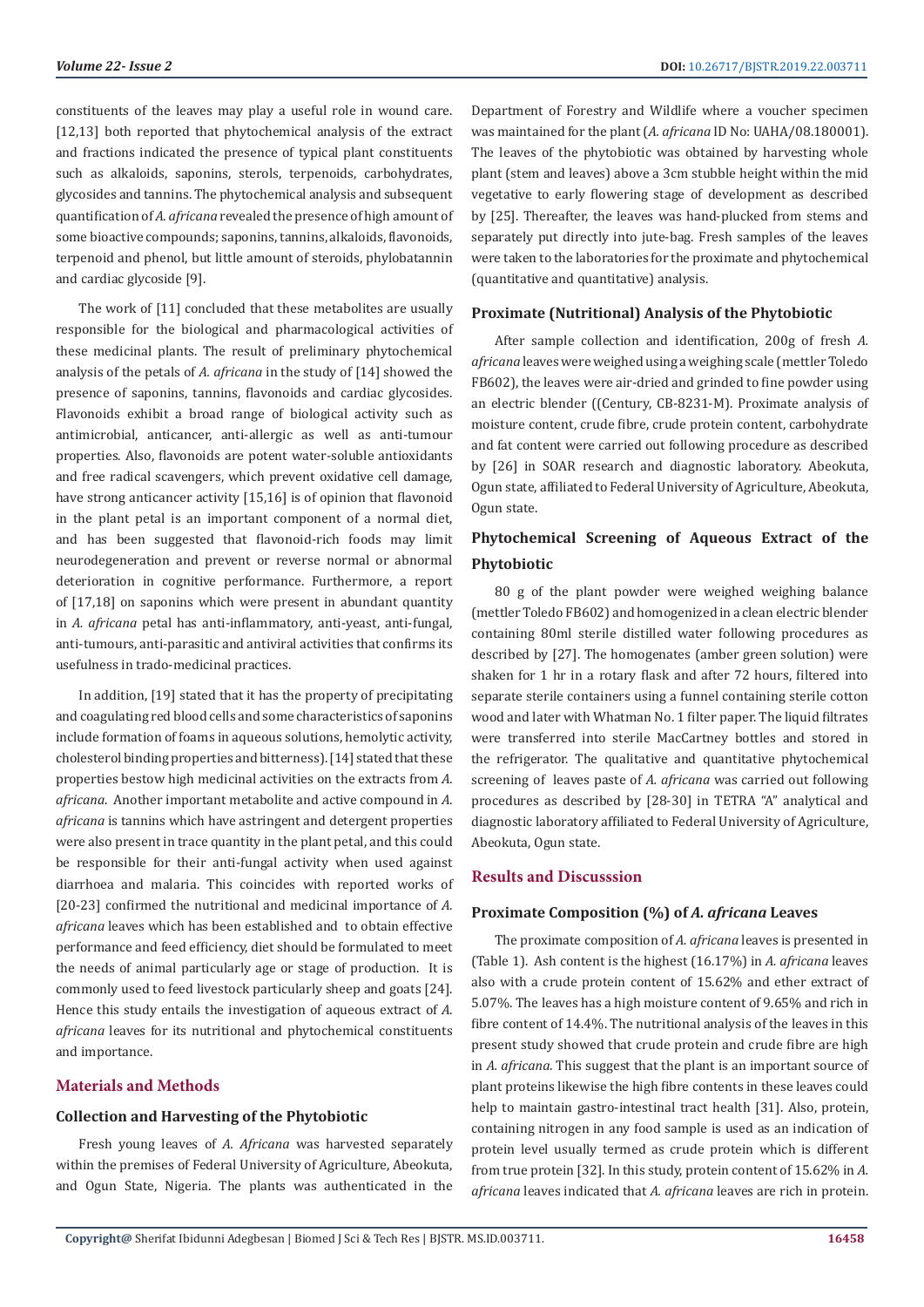constituents of the leaves may play a useful role in wound care. [12,13] both reported that phytochemical analysis of the extract and fractions indicated the presence of typical plant constituents such as alkaloids, saponins, sterols, terpenoids, carbohydrates, glycosides and tannins. The phytochemical analysis and subsequent quantification of *A. africana* revealed the presence of high amount of some bioactive compounds; saponins, tannins, alkaloids, flavonoids, terpenoid and phenol, but little amount of steroids, phylobatannin and cardiac glycoside [9].

The work of [11] concluded that these metabolites are usually responsible for the biological and pharmacological activities of these medicinal plants. The result of preliminary phytochemical analysis of the petals of *A. africana* in the study of [14] showed the presence of saponins, tannins, flavonoids and cardiac glycosides. Flavonoids exhibit a broad range of biological activity such as antimicrobial, anticancer, anti-allergic as well as anti-tumour properties. Also, flavonoids are potent water-soluble antioxidants and free radical scavengers, which prevent oxidative cell damage, have strong anticancer activity [15,16] is of opinion that flavonoid in the plant petal is an important component of a normal diet, and has been suggested that flavonoid-rich foods may limit neurodegeneration and prevent or reverse normal or abnormal deterioration in cognitive performance. Furthermore, a report of [17,18] on saponins which were present in abundant quantity in *A. africana* petal has anti-inflammatory, anti-yeast, anti-fungal, anti-tumours, anti-parasitic and antiviral activities that confirms its usefulness in trado-medicinal practices.

In addition, [19] stated that it has the property of precipitating and coagulating red blood cells and some characteristics of saponins include formation of foams in aqueous solutions, hemolytic activity, cholesterol binding properties and bitterness). [14] stated that these properties bestow high medicinal activities on the extracts from *A. africana*. Another important metabolite and active compound in *A. africana* is tannins which have astringent and detergent properties were also present in trace quantity in the plant petal, and this could be responsible for their anti-fungal activity when used against diarrhoea and malaria. This coincides with reported works of [20-23] confirmed the nutritional and medicinal importance of *A. africana* leaves which has been established and to obtain effective performance and feed efficiency, diet should be formulated to meet the needs of animal particularly age or stage of production. It is commonly used to feed livestock particularly sheep and goats [24]. Hence this study entails the investigation of aqueous extract of *A. africana* leaves for its nutritional and phytochemical constituents and importance.

# **Materials and Methods**

# **Collection and Harvesting of the Phytobiotic**

Fresh young leaves of *A. Africana* was harvested separately within the premises of Federal University of Agriculture, Abeokuta, and Ogun State, Nigeria. The plants was authenticated in the Department of Forestry and Wildlife where a voucher specimen was maintained for the plant (*A. africana* ID No: UAHA/08.180001). The leaves of the phytobiotic was obtained by harvesting whole plant (stem and leaves) above a 3cm stubble height within the mid vegetative to early flowering stage of development as described by [25]. Thereafter, the leaves was hand-plucked from stems and separately put directly into jute-bag. Fresh samples of the leaves were taken to the laboratories for the proximate and phytochemical (quantitative and quantitative) analysis.

## **Proximate (Nutritional) Analysis of the Phytobiotic**

After sample collection and identification, 200g of fresh *A. africana* leaves were weighed using a weighing scale (mettler Toledo FB602), the leaves were air-dried and grinded to fine powder using an electric blender ((Century, CB-8231-M). Proximate analysis of moisture content, crude fibre, crude protein content, carbohydrate and fat content were carried out following procedure as described by [26] in SOAR research and diagnostic laboratory. Abeokuta, Ogun state, affiliated to Federal University of Agriculture, Abeokuta, Ogun state.

# **Phytochemical Screening of Aqueous Extract of the Phytobiotic**

80 g of the plant powder were weighed weighing balance (mettler Toledo FB602) and homogenized in a clean electric blender containing 80ml sterile distilled water following procedures as described by [27]. The homogenates (amber green solution) were shaken for 1 hr in a rotary flask and after 72 hours, filtered into separate sterile containers using a funnel containing sterile cotton wood and later with Whatman No. 1 filter paper. The liquid filtrates were transferred into sterile MacCartney bottles and stored in the refrigerator. The qualitative and quantitative phytochemical screening of leaves paste of *A. africana* was carried out following procedures as described by [28-30] in TETRA "A" analytical and diagnostic laboratory affiliated to Federal University of Agriculture, Abeokuta, Ogun state.

# **Results and Discusssion**

# **Proximate Composition (%) of** *A. africana* **Leaves**

The proximate composition of *A. africana* leaves is presented in (Table 1). Ash content is the highest (16.17%) in *A. africana* leaves also with a crude protein content of 15.62% and ether extract of 5.07%. The leaves has a high moisture content of 9.65% and rich in fibre content of 14.4%. The nutritional analysis of the leaves in this present study showed that crude protein and crude fibre are high in *A. africana*. This suggest that the plant is an important source of plant proteins likewise the high fibre contents in these leaves could help to maintain gastro-intestinal tract health [31]. Also, protein, containing nitrogen in any food sample is used as an indication of protein level usually termed as crude protein which is different from true protein [32]. In this study, protein content of 15.62% in *A. africana* leaves indicated that *A. africana* leaves are rich in protein.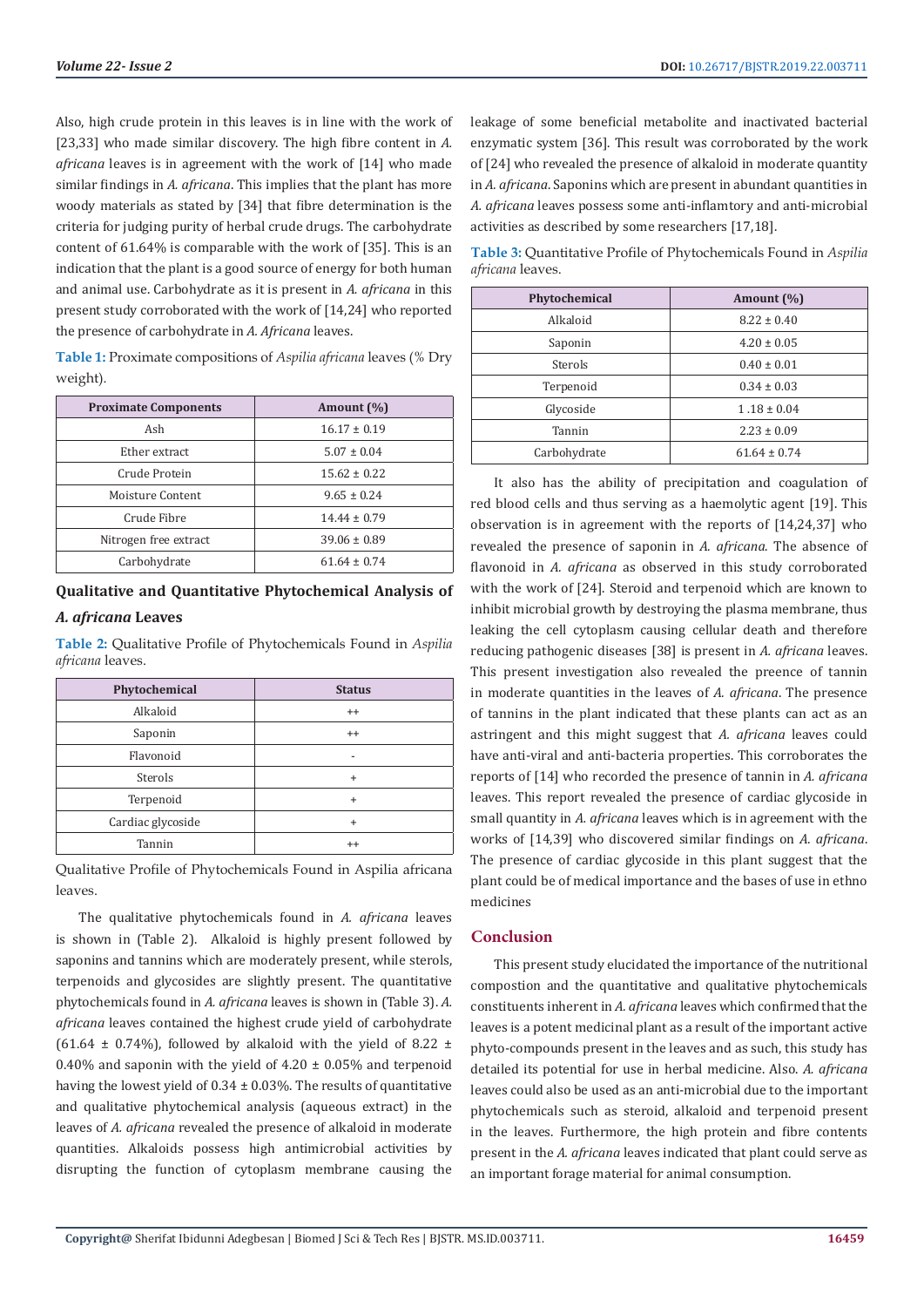Also, high crude protein in this leaves is in line with the work of [23,33] who made similar discovery. The high fibre content in *A*. *africana* leaves is in agreement with the work of [14] who made similar findings in *A. africana*. This implies that the plant has more woody materials as stated by [34] that fibre determination is the criteria for judging purity of herbal crude drugs. The carbohydrate content of 61.64% is comparable with the work of [35]. This is an indication that the plant is a good source of energy for both human and animal use. Carbohydrate as it is present in *A. africana* in this present study corroborated with the work of [14,24] who reported the presence of carbohydrate in *A. Africana* leaves.

**Table 1:** Proximate compositions of *Aspilia africana* leaves (% Dry weight).

| <b>Proximate Components</b> | Amount $(\% )$   |
|-----------------------------|------------------|
| Ash                         | $16.17 \pm 0.19$ |
| Ether extract               | $5.07 \pm 0.04$  |
| Crude Protein               | $15.62 \pm 0.22$ |
| Moisture Content            | $9.65 \pm 0.24$  |
| Crude Fibre                 | $14.44 \pm 0.79$ |
| Nitrogen free extract       | $39.06 \pm 0.89$ |
| Carbohydrate                | $61.64 \pm 0.74$ |

# **Qualitative and Quantitative Phytochemical Analysis of**  *A. africana* **Leaves**

**Table 2:** Qualitative Profile of Phytochemicals Found in *Aspilia africana* leaves.

| Phytochemical     | <b>Status</b> |
|-------------------|---------------|
| Alkaloid          | $^{++}$       |
| Saponin           | $^{++}$       |
| Flavonoid         |               |
| Sterols           | $\ddot{}$     |
| Terpenoid         | $\ddot{}$     |
| Cardiac glycoside | $\ddot{}$     |
| Tannin            | $^{++}$       |

Qualitative Profile of Phytochemicals Found in Aspilia africana leaves.

The qualitative phytochemicals found in *A. africana* leaves is shown in (Table 2). Alkaloid is highly present followed by saponins and tannins which are moderately present, while sterols, terpenoids and glycosides are slightly present. The quantitative phytochemicals found in *A. africana* leaves is shown in (Table 3). *A. africana* leaves contained the highest crude yield of carbohydrate (61.64  $\pm$  0.74%), followed by alkaloid with the yield of 8.22  $\pm$ 0.40% and saponin with the yield of  $4.20 \pm 0.05$ % and terpenoid having the lowest yield of  $0.34 \pm 0.03\%$ . The results of quantitative and qualitative phytochemical analysis (aqueous extract) in the leaves of *A. africana* revealed the presence of alkaloid in moderate quantities. Alkaloids possess high antimicrobial activities by disrupting the function of cytoplasm membrane causing the

leakage of some beneficial metabolite and inactivated bacterial enzymatic system [36]. This result was corroborated by the work of [24] who revealed the presence of alkaloid in moderate quantity in *A. africana*. Saponins which are present in abundant quantities in *A. africana* leaves possess some anti-inflamtory and anti-microbial activities as described by some researchers [17,18].

**Table 3:** Quantitative Profile of Phytochemicals Found in *Aspilia africana* leaves.

| Phytochemical | Amount $(\% )$   |
|---------------|------------------|
| Alkaloid      | $8.22 \pm 0.40$  |
| Saponin       | $4.20 \pm 0.05$  |
| Sterols       | $0.40 \pm 0.01$  |
| Terpenoid     | $0.34 \pm 0.03$  |
| Glycoside     | $1.18 \pm 0.04$  |
| Tannin        | $2.23 \pm 0.09$  |
| Carbohydrate  | $61.64 \pm 0.74$ |

It also has the ability of precipitation and coagulation of red blood cells and thus serving as a haemolytic agent [19]. This observation is in agreement with the reports of [14,24,37] who revealed the presence of saponin in *A. africana*. The absence of flavonoid in *A. africana* as observed in this study corroborated with the work of [24]. Steroid and terpenoid which are known to inhibit microbial growth by destroying the plasma membrane, thus leaking the cell cytoplasm causing cellular death and therefore reducing pathogenic diseases [38] is present in *A. africana* leaves. This present investigation also revealed the preence of tannin in moderate quantities in the leaves of *A. africana*. The presence of tannins in the plant indicated that these plants can act as an astringent and this might suggest that *A. africana* leaves could have anti-viral and anti-bacteria properties. This corroborates the reports of [14] who recorded the presence of tannin in *A. africana* leaves. This report revealed the presence of cardiac glycoside in small quantity in *A. africana* leaves which is in agreement with the works of [14,39] who discovered similar findings on *A. africana*. The presence of cardiac glycoside in this plant suggest that the plant could be of medical importance and the bases of use in ethno medicines

#### **Conclusion**

This present study elucidated the importance of the nutritional compostion and the quantitative and qualitative phytochemicals constituents inherent in *A. africana* leaves which confirmed that the leaves is a potent medicinal plant as a result of the important active phyto-compounds present in the leaves and as such, this study has detailed its potential for use in herbal medicine. Also. *A. africana* leaves could also be used as an anti-microbial due to the important phytochemicals such as steroid, alkaloid and terpenoid present in the leaves. Furthermore, the high protein and fibre contents present in the *A. africana* leaves indicated that plant could serve as an important forage material for animal consumption.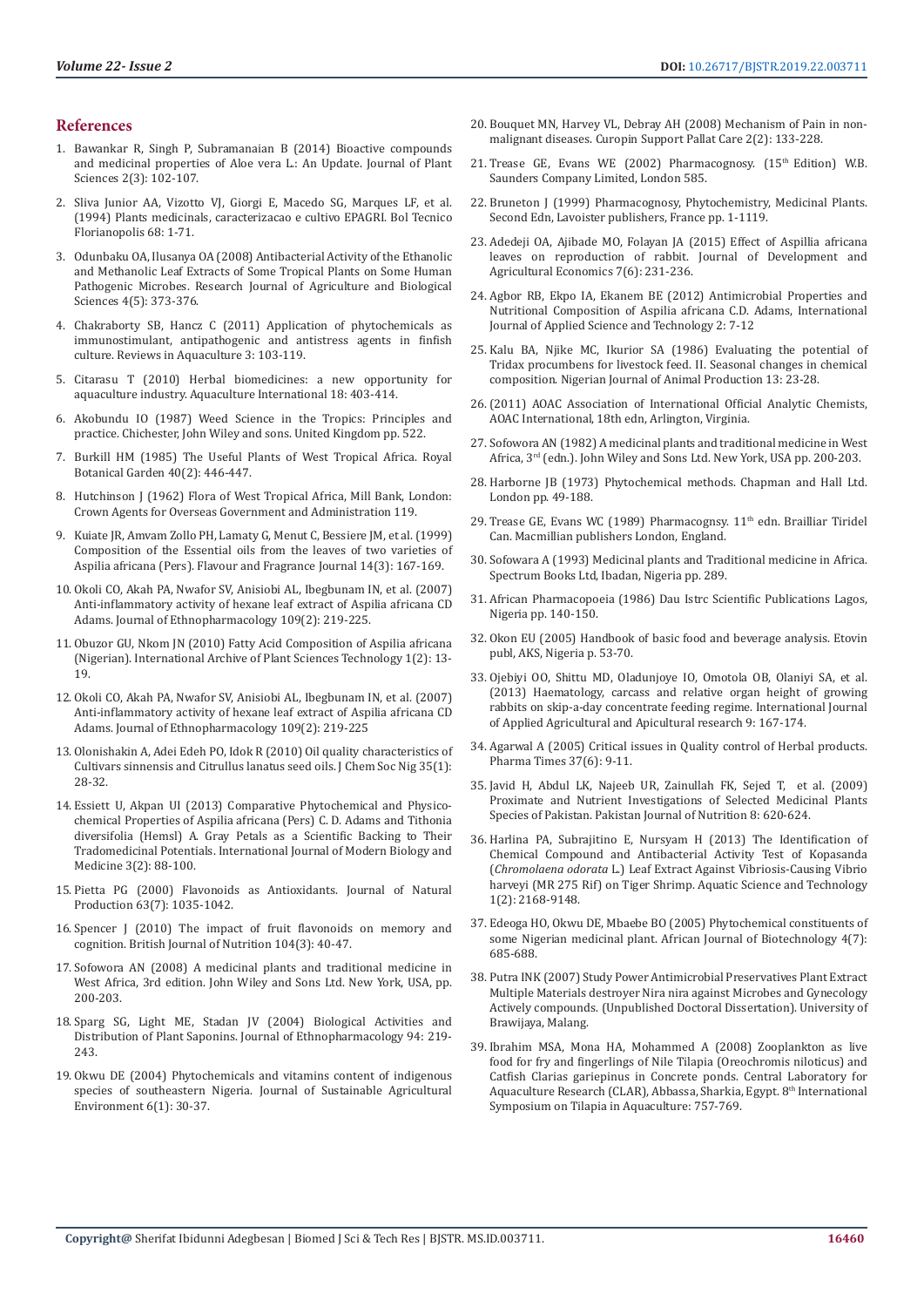#### **References**

- 1. [Bawankar R, Singh P, Subramanaian B \(2014\) Bioactive compounds](https://www.researchgate.net/publication/262797873_Bioactive_compounds_and_medicinal_properties_of_Aloe_vera_L_An_update)  [and medicinal properties of Aloe vera L.: An Update. Journal of Plant](https://www.researchgate.net/publication/262797873_Bioactive_compounds_and_medicinal_properties_of_Aloe_vera_L_An_update)  [Sciences 2\(3\): 102-107.](https://www.researchgate.net/publication/262797873_Bioactive_compounds_and_medicinal_properties_of_Aloe_vera_L_An_update)
- 2. Sliva Junior AA, Vizotto VJ, Giorgi E, Macedo SG, Marques LF, et al. (1994) Plants medicinals, caracterizacao e cultivo EPAGRI. Bol Tecnico Florianopolis 68: 1-71.
- 3. [Odunbaku OA, Ilusanya OA \(2008\) Antibacterial Activity of the Ethanolic](https://www.ncbi.nlm.nih.gov/pmc/articles/PMC4939345/)  [and Methanolic Leaf Extracts of Some Tropical Plants on Some Human](https://www.ncbi.nlm.nih.gov/pmc/articles/PMC4939345/)  [Pathogenic Microbes. Research Journal of Agriculture and Biological](https://www.ncbi.nlm.nih.gov/pmc/articles/PMC4939345/)  [Sciences 4\(5\): 373-376.](https://www.ncbi.nlm.nih.gov/pmc/articles/PMC4939345/)
- 4. [Chakraborty SB, Hancz C \(2011\) Application of phytochemicals as](https://onlinelibrary.wiley.com/doi/abs/10.1111/j.1753-5131.2011.01048.x)  [immunostimulant, antipathogenic and antistress agents in finfish](https://onlinelibrary.wiley.com/doi/abs/10.1111/j.1753-5131.2011.01048.x)  [culture. Reviews in Aquaculture 3: 103-119.](https://onlinelibrary.wiley.com/doi/abs/10.1111/j.1753-5131.2011.01048.x)
- 5. [Citarasu T \(2010\) Herbal biomedicines: a new opportunity for](https://link.springer.com/article/10.1007/s10499-009-9253-7)  [aquaculture industry. Aquaculture International 18: 403-414.](https://link.springer.com/article/10.1007/s10499-009-9253-7)
- 6. [Akobundu IO \(1987\) Weed Science in the Tropics: Principles and](https://www.cabdirect.org/cabdirect/abstract/19880711194)  [practice. Chichester, John Wiley and sons. United Kingdom pp. 522.](https://www.cabdirect.org/cabdirect/abstract/19880711194)
- 7. [Burkill HM \(1985\) The Useful Plants of West Tropical Africa. Royal](https://link.springer.com/article/10.1007/BF02859140)  [Botanical Garden 40\(2\): 446-447.](https://link.springer.com/article/10.1007/BF02859140)
- 8. [Hutchinson J \(1962\) Flora of West Tropical Africa, Mill Bank, London:](https://trove.nla.gov.au/work/23154653?selectedversion=NBD24561611)  [Crown Agents for Overseas Government and Administration 119.](https://trove.nla.gov.au/work/23154653?selectedversion=NBD24561611)
- 9. [Kuiate JR, Amvam Zollo PH, Lamaty G, Menut C, Bessiere JM, et al. \(1999\)](https://onlinelibrary.wiley.com/doi/abs/10.1002/%28SICI%291099-1026%28199905/06%2914%3A3%3C167%3A%3AAID-FFJ802%3E3.0.CO%3B2-O)  [Composition of the Essential oils from the leaves of two varieties of](https://onlinelibrary.wiley.com/doi/abs/10.1002/%28SICI%291099-1026%28199905/06%2914%3A3%3C167%3A%3AAID-FFJ802%3E3.0.CO%3B2-O)  [Aspilia africana \(Pers\). Flavour and Fragrance Journal 14\(3\): 167-169.](https://onlinelibrary.wiley.com/doi/abs/10.1002/%28SICI%291099-1026%28199905/06%2914%3A3%3C167%3A%3AAID-FFJ802%3E3.0.CO%3B2-O)
- 10. [Okoli CO, Akah PA, Nwafor SV, Anisiobi AL, Ibegbunam IN, et al. \(2007\)](http://europepmc.org/abstract/med/16950582)  [Anti-inflammatory activity of hexane leaf extract of Aspilia africana CD](http://europepmc.org/abstract/med/16950582)  [Adams. Journal of Ethnopharmacology 109\(2\): 219-225.](http://europepmc.org/abstract/med/16950582)
- 11. [Obuzor GU, Nkom JN \(2010\) Fatty Acid Composition of Aspilia africana](http://www.soeagra.com/iaast/vol2/ARTICLE%202.pdf)  [\(Nigerian\). International Archive of Plant Sciences Technology 1\(2\): 13-](http://www.soeagra.com/iaast/vol2/ARTICLE%202.pdf) [19.](http://www.soeagra.com/iaast/vol2/ARTICLE%202.pdf)
- 12. [Okoli CO, Akah PA, Nwafor SV, Anisiobi AL, Ibegbunam IN, et al. \(2007\)](https://www.researchgate.net/publication/6838556_Anti-inflammatory_activity_of_hexane_leaf_extract_of_Aspilia_africana_CD_Adams)  [Anti-inflammatory activity of hexane leaf extract of Aspilia africana CD](https://www.researchgate.net/publication/6838556_Anti-inflammatory_activity_of_hexane_leaf_extract_of_Aspilia_africana_CD_Adams)  [Adams. Journal of Ethnopharmacology 109\(2\): 219-225](https://www.researchgate.net/publication/6838556_Anti-inflammatory_activity_of_hexane_leaf_extract_of_Aspilia_africana_CD_Adams)
- 13. [Olonishakin A, Adei Edeh PO, Idok R \(2010\) Oil quality characteristics of](http://www.academix.ng/search/paper.html?idd=3300012304)  [Cultivars sinnensis and Citrullus lanatus seed oils. J Chem Soc Nig 35\(1\):](http://www.academix.ng/search/paper.html?idd=3300012304)  [28-32.](http://www.academix.ng/search/paper.html?idd=3300012304)
- 14. [Essiett U, Akpan UI \(2013\) Comparative Phytochemical and Physico](https://pdfs.semanticscholar.org/e49d/6997ebaabbc6b3d4151fa215b63fad86fb39.pdf)[chemical Properties of Aspilia africana \(Pers\) C. D. Adams and Tithonia](https://pdfs.semanticscholar.org/e49d/6997ebaabbc6b3d4151fa215b63fad86fb39.pdf)  [diversifolia \(Hemsl\) A. Gray Petals as a Scientific Backing to Their](https://pdfs.semanticscholar.org/e49d/6997ebaabbc6b3d4151fa215b63fad86fb39.pdf)  [Tradomedicinal Potentials. International Journal of Modern Biology and](https://pdfs.semanticscholar.org/e49d/6997ebaabbc6b3d4151fa215b63fad86fb39.pdf)  [Medicine 3\(2\): 88-100.](https://pdfs.semanticscholar.org/e49d/6997ebaabbc6b3d4151fa215b63fad86fb39.pdf)
- 15. [Pietta PG \(2000\) Flavonoids as Antioxidants. Journal of Natural](https://pubs.acs.org/doi/10.1021/np9904509)  [Production 63\(7\): 1035-1042.](https://pubs.acs.org/doi/10.1021/np9904509)
- 16. [Spencer J \(2010\) The impact of fruit flavonoids on memory and](https://www.ncbi.nlm.nih.gov/pubmed/20955649)  [cognition. British Journal of Nutrition 104\(3\): 40-47.](https://www.ncbi.nlm.nih.gov/pubmed/20955649)
- 17. [Sofowora AN \(2008\) A medicinal plants and traditional medicine in](https://pdfs.semanticscholar.org/7b6f/7ffe3a8fb509450ab0c52500f6dc36f72667.pdf)  [West Africa, 3rd edition. John Wiley and Sons Ltd. New York, USA, pp.](https://pdfs.semanticscholar.org/7b6f/7ffe3a8fb509450ab0c52500f6dc36f72667.pdf)  [200-203.](https://pdfs.semanticscholar.org/7b6f/7ffe3a8fb509450ab0c52500f6dc36f72667.pdf)
- 18. [Sparg SG, Light ME, Stadan JV \(2004\) Biological Activities and](https://www.ncbi.nlm.nih.gov/pubmed/15325725)  [Distribution of Plant Saponins. Journal of Ethnopharmacology 94: 219-](https://www.ncbi.nlm.nih.gov/pubmed/15325725) [243.](https://www.ncbi.nlm.nih.gov/pubmed/15325725)
- 19. [Okwu DE \(2004\) Phytochemicals and vitamins content of indigenous](http://www.scirp.org/(S(vtj3fa45qm1ean45vvffcz55))/reference/ReferencesPapers.aspx?ReferenceID=916714)  [species of southeastern Nigeria. Journal of Sustainable Agricultural](http://www.scirp.org/(S(vtj3fa45qm1ean45vvffcz55))/reference/ReferencesPapers.aspx?ReferenceID=916714)  [Environment 6\(1\): 30-37.](http://www.scirp.org/(S(vtj3fa45qm1ean45vvffcz55))/reference/ReferencesPapers.aspx?ReferenceID=916714)
- 20. [Bouquet MN, Harvey VL, Debray AH \(2008\) Mechanism of Pain in non](https://pdfs.semanticscholar.org/b6d6/c83b6c2940da77b8b22382138532074c8ff2.pdf)[malignant diseases. Curopin Support Pallat Care 2\(2\): 133-228.](https://pdfs.semanticscholar.org/b6d6/c83b6c2940da77b8b22382138532074c8ff2.pdf)
- 21. Trease GE, Evans WE (2002) Pharmacognosy. (15<sup>th</sup> Edition) W.B. Saunders Company Limited, London 585.
- 22. Bruneton J (1999) Pharmacognosy, Phytochemistry, Medicinal Plants. Second Edn, Lavoister publishers, France pp. 1-1119.
- 23. [Adedeji OA, Ajibade MO, Folayan JA \(2015\) Effect of Aspillia africana](https://pdfs.semanticscholar.org/a0bd/b8f39c0e09b73e226d43138309ff795984e5.pdf) [leaves on reproduction of rabbit. Journal of Development and](https://pdfs.semanticscholar.org/a0bd/b8f39c0e09b73e226d43138309ff795984e5.pdf) [Agricultural Economics 7\(6\): 231-236.](https://pdfs.semanticscholar.org/a0bd/b8f39c0e09b73e226d43138309ff795984e5.pdf)
- 24. [Agbor RB, Ekpo IA, Ekanem BE \(2012\) Antimicrobial Properties and](http://www.ijastnet.com/journals/Vol_2_No_7_August_2012/11.pdf) [Nutritional Composition of Aspilia africana C.D. Adams, International](http://www.ijastnet.com/journals/Vol_2_No_7_August_2012/11.pdf) [Journal of Applied Science and Technology 2: 7-12](http://www.ijastnet.com/journals/Vol_2_No_7_August_2012/11.pdf)
- 25. [Kalu BA, Njike MC, Ikurior SA \(1986\) Evaluating the potential of](https://www.ajol.info/index.php/njap/article/view/124395) [Tridax procumbens for livestock feed. II. Seasonal changes in chemical](https://www.ajol.info/index.php/njap/article/view/124395) [composition. Nigerian Journal of Animal Production 13: 23-28.](https://www.ajol.info/index.php/njap/article/view/124395)
- 26.(2011) AOAC Association of International Official Analytic Chemists, AOAC International, 18th edn, Arlington, Virginia.
- 27. Sofowora AN (1982) A medicinal plants and traditional medicine in West Africa, 3rd (edn.). John Wiley and Sons Ltd. New York, USA pp. 200-203.
- 28. Harborne JB (1973) Phytochemical methods. Chapman and Hall Ltd. London pp. 49-188.
- 29. [Trease GE, Evans WC \(1989\) Pharmacognsy. 11](https://onlinelibrary.wiley.com/doi/abs/10.1002/jps.2600690550)<sup>th</sup> edn. Brailliar Tiridel [Can. Macmillian publishers](https://onlinelibrary.wiley.com/doi/abs/10.1002/jps.2600690550) [London, England.](file:///E:/varalakshmi/18-10-2019/BJSTR.MS.ID.003711/BJSTR-VET-19-RA-151_W/London%20WC1R%2049G,%20England.)
- 30. Sofowara A (1993) Medicinal plants and Traditional medicine in Africa. Spectrum Books Ltd, Ibadan, Nigeria pp. 289.
- 31. African Pharmacopoeia (1986) Dau Istrc Scientific Publications Lagos, Nigeria pp. 140-150.
- 32. Okon EU (2005) Handbook of basic food and beverage analysis. Etovin publ, AKS, Nigeria p. 53-70.
- 33. [Ojebiyi OO, Shittu MD, Oladunjoye IO, Omotola OB, Olaniyi SA, et al.](https://www.ajol.info/index.php/ijaaar/article/view/96944) [\(2013\) Haematology, carcass and relative organ height of growing](https://www.ajol.info/index.php/ijaaar/article/view/96944) [rabbits on skip-a-day concentrate feeding regime. International Journal](https://www.ajol.info/index.php/ijaaar/article/view/96944) [of Applied Agricultural and Apicultural research 9: 167-174.](https://www.ajol.info/index.php/ijaaar/article/view/96944)
- 34. [Agarwal A \(2005\) Critical issues in Quality control of Herbal products.](https://www.pharmatutor.org/articles/review-quality-control-herbal-drugs) [Pharma Times 37\(6\): 9-11.](https://www.pharmatutor.org/articles/review-quality-control-herbal-drugs)
- 35. [Javid H, Abdul LK, Najeeb UR, Zainullah FK, Sejed T, et al. \(2009\)](https://scialert.net/abstract/?doi=pjn.2009.620.624) [Proximate and Nutrient Investigations of Selected Medicinal Plants](https://scialert.net/abstract/?doi=pjn.2009.620.624) [Species of Pakistan. Pakistan Journal of Nutrition 8: 620-624.](https://scialert.net/abstract/?doi=pjn.2009.620.624)
- 36. [Harlina PA, Subrajitino E, Nursyam H \(2013\) The Identification of](https://www.semanticscholar.org/paper/The-Identification-of-Chemical-Compound-and-Test-of-Harlina-Prajitno/1bcc44d6bac8e3b88e7fb0cc8a143a5dfc4378e2) [Chemical Compound and Antibacterial Activity Test of Kopasanda](https://www.semanticscholar.org/paper/The-Identification-of-Chemical-Compound-and-Test-of-Harlina-Prajitno/1bcc44d6bac8e3b88e7fb0cc8a143a5dfc4378e2) (*Chromolaena odorata* [L.\) Leaf Extract Against Vibriosis-Causing Vibrio](https://www.semanticscholar.org/paper/The-Identification-of-Chemical-Compound-and-Test-of-Harlina-Prajitno/1bcc44d6bac8e3b88e7fb0cc8a143a5dfc4378e2) [harveyi \(MR 275 Rif\) on Tiger Shrimp. Aquatic Science and Technology](https://www.semanticscholar.org/paper/The-Identification-of-Chemical-Compound-and-Test-of-Harlina-Prajitno/1bcc44d6bac8e3b88e7fb0cc8a143a5dfc4378e2) [1\(2\): 2168-9148.](https://www.semanticscholar.org/paper/The-Identification-of-Chemical-Compound-and-Test-of-Harlina-Prajitno/1bcc44d6bac8e3b88e7fb0cc8a143a5dfc4378e2)
- 37. [Edeoga HO, Okwu DE, Mbaebe BO \(2005\) Phytochemical constituents of](https://www.ajol.info/index.php/ajb/article/view/15167) [some Nigerian medicinal plant. African Journal of Biotechnology 4\(7\):](https://www.ajol.info/index.php/ajb/article/view/15167) [685-688.](https://www.ajol.info/index.php/ajb/article/view/15167)
- 38. Putra INK (2007) Study Power Antimicrobial Preservatives Plant Extract Multiple Materials destroyer Nira nira against Microbes and Gynecology Actively compounds. (Unpublished Doctoral Dissertation). University of Brawijaya, Malang.
- 39. [Ibrahim MSA, Mona HA, Mohammed A \(2008\) Zooplankton as live](https://www.semanticscholar.org/paper/Zooplankton-as-live-food-for-fry-and-fingerlings-of-El-Fattah-Ahmed/8ac2f185641284f4bcc689b02e2575acf549d485) [food for fry and fingerlings of Nile Tilapia \(Oreochromis niloticus\) and](https://www.semanticscholar.org/paper/Zooplankton-as-live-food-for-fry-and-fingerlings-of-El-Fattah-Ahmed/8ac2f185641284f4bcc689b02e2575acf549d485) [Catfish Clarias gariepinus in Concrete ponds. Central Laboratory for](https://www.semanticscholar.org/paper/Zooplankton-as-live-food-for-fry-and-fingerlings-of-El-Fattah-Ahmed/8ac2f185641284f4bcc689b02e2575acf549d485) Aquaculture Research (CLAR), Abbassa, Sharkia, Egypt. 8<sup>th</sup> International [Symposium on Tilapia in Aquaculture: 757-769.](https://www.semanticscholar.org/paper/Zooplankton-as-live-food-for-fry-and-fingerlings-of-El-Fattah-Ahmed/8ac2f185641284f4bcc689b02e2575acf549d485)